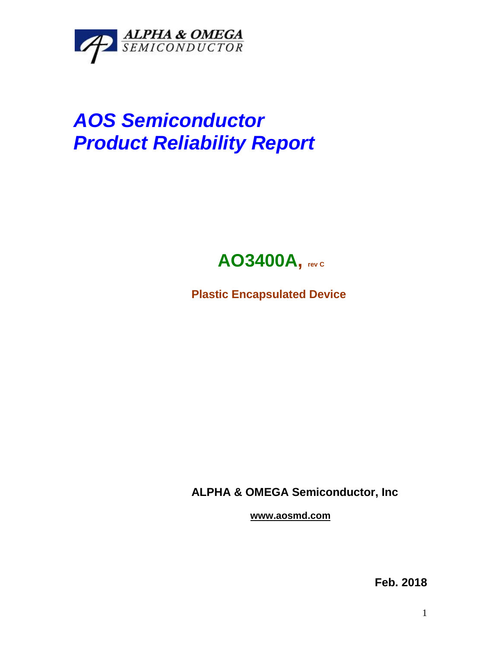

## *AOS Semiconductor Product Reliability Report*



**Plastic Encapsulated Device**

**ALPHA & OMEGA Semiconductor, Inc**

**www.aosmd.com**

**Feb. 2018**